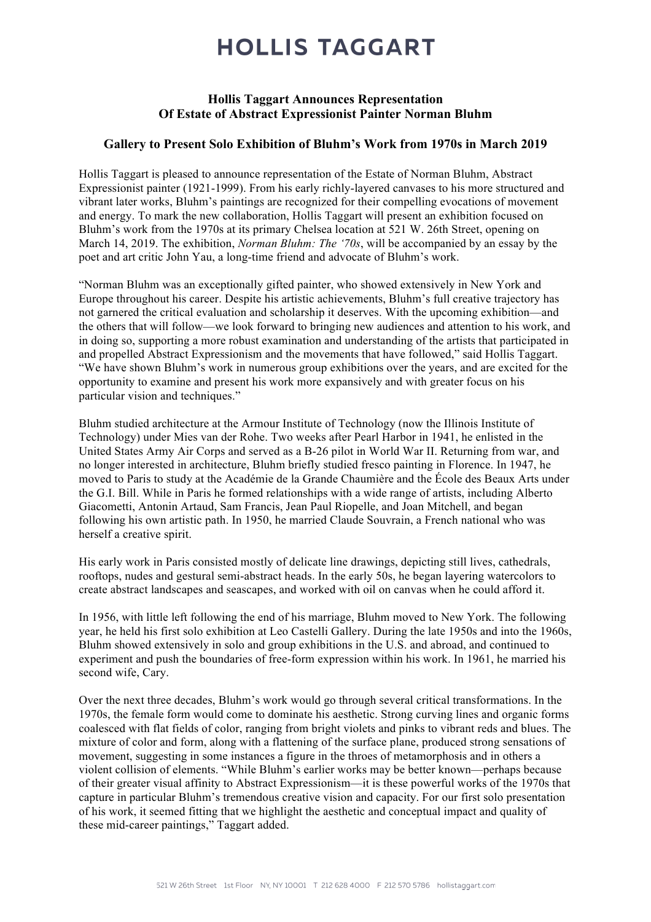# **HOLLIS TAGGART**

### Hollis Taggart Announces Representation Of Estate of Abstract Expressionist Painter Norman Bluhm

### Gallery to Present Solo Exhibition of Bluhm's Work from 1970s in March 2019

Hollis Taggart is pleased to announce representation of the Estate of Norman Bluhm, Abstract Expressionist painter (1921-1999). From his early richly-layered canvases to his more structured and vibrant later works, Bluhm's paintings are recognized for their compelling evocations of movement and energy. To mark the new collaboration, Hollis Taggart will present an exhibition focused on Bluhm's work from the 1970s at its primary Chelsea location at 521 W. 26th Street, opening on March 14, 2019. The exhibition, *Norman Bluhm: The '70s*, will be accompanied by an essay by the poet and art critic John Yau, a long-time friend and advocate of Bluhm's work.

"Norman Bluhm was an exceptionally gifted painter, who showed extensively in New York and Europe throughout his career. Despite his artistic achievements, Bluhm's full creative trajectory has not garnered the critical evaluation and scholarship it deserves. With the upcoming exhibition—and the others that will follow—we look forward to bringing new audiences and attention to his work, and in doing so, supporting a more robust examination and understanding of the artists that participated in and propelled Abstract Expressionism and the movements that have followed," said Hollis Taggart. "We have shown Bluhm's work in numerous group exhibitions over the years, and are excited for the opportunity to examine and present his work more expansively and with greater focus on his particular vision and techniques."

Bluhm studied architecture at the Armour Institute of Technology (now the Illinois Institute of Technology) under Mies van der Rohe. Two weeks after Pearl Harbor in 1941, he enlisted in the United States Army Air Corps and served as a B-26 pilot in World War II. Returning from war, and no longer interested in architecture, Bluhm briefly studied fresco painting in Florence. In 1947, he moved to Paris to study at the Académie de la Grande Chaumière and the École des Beaux Arts under the G.I. Bill. While in Paris he formed relationships with a wide range of artists, including Alberto Giacometti, Antonin Artaud, Sam Francis, Jean Paul Riopelle, and Joan Mitchell, and began following his own artistic path. In 1950, he married Claude Souvrain, a French national who was herself a creative spirit.

His early work in Paris consisted mostly of delicate line drawings, depicting still lives, cathedrals, rooftops, nudes and gestural semi-abstract heads. In the early 50s, he began layering watercolors to create abstract landscapes and seascapes, and worked with oil on canvas when he could afford it.

In 1956, with little left following the end of his marriage, Bluhm moved to New York. The following year, he held his first solo exhibition at Leo Castelli Gallery. During the late 1950s and into the 1960s, Bluhm showed extensively in solo and group exhibitions in the U.S. and abroad, and continued to experiment and push the boundaries of free-form expression within his work. In 1961, he married his second wife, Cary.

Over the next three decades, Bluhm's work would go through several critical transformations. In the 1970s, the female form would come to dominate his aesthetic. Strong curving lines and organic forms coalesced with flat fields of color, ranging from bright violets and pinks to vibrant reds and blues. The mixture of color and form, along with a flattening of the surface plane, produced strong sensations of movement, suggesting in some instances a figure in the throes of metamorphosis and in others a violent collision of elements. "While Bluhm's earlier works may be better known—perhaps because of their greater visual affinity to Abstract Expressionism—it is these powerful works of the 1970s that capture in particular Bluhm's tremendous creative vision and capacity. For our first solo presentation of his work, it seemed fitting that we highlight the aesthetic and conceptual impact and quality of these mid-career paintings," Taggart added.